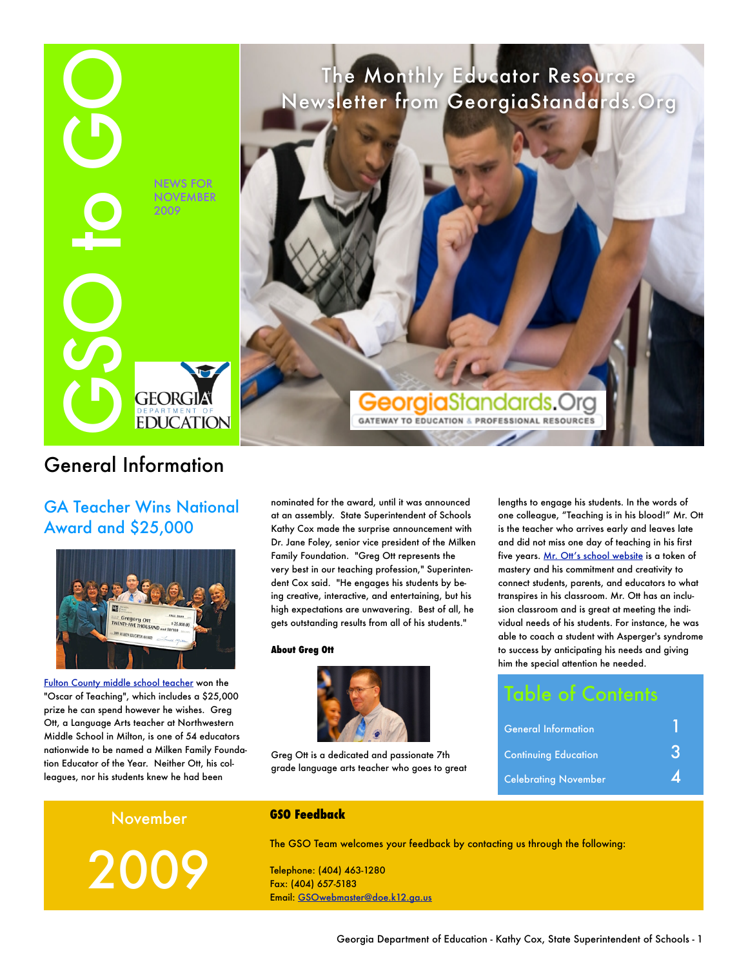

# General Information

GA Teacher Wins National Award and \$25,000



[Fulton County middle school teacher](http://gadoe.shutterfly.com/1516) won the "Oscar of Teaching", which includes a \$25,000 prize he can spend however he wishes. Greg Ott, a Language Arts teacher at Northwestern Middle School in Milton, is one of 54 educators nationwide to be named a Milken Family Foundation Educator of the Year. Neither Ott, his colleagues, nor his students knew he had been

nominated for the award, until it was announced at an assembly. State Superintendent of Schools Kathy Cox made the surprise announcement with Dr. Jane Foley, senior vice president of the Milken Family Foundation. "Greg Ott represents the very best in our teaching profession," Superintendent Cox said. "He engages his students by being creative, interactive, and entertaining, but his high expectations are unwavering. Best of all, he gets outstanding results from all of his students."

#### **About Greg Ott**



Greg Ott is a dedicated and passionate 7th grade language arts teacher who goes to great lengths to engage his students. In the words of one colleague, "Teaching is in his blood!" Mr. Ott is the teacher who arrives early and leaves late and did not miss one day of teaching in his first five years. [Mr. Ott's school website](http://www2.fultonschools.org/teacher/ottg/index_01-bod.htm) is a token of mastery and his commitment and creativity to connect students, parents, and educators to what transpires in his classroom. Mr. Ott has an inclusion classroom and is great at meeting the individual needs of his students. For instance, he was able to coach a student with Asperger's syndrome to success by anticipating his needs and giving him the special attention he needed.

| <b>Table of Contents</b>    |  |
|-----------------------------|--|
| <b>General Information</b>  |  |
| <b>Continuing Education</b> |  |
| <b>Celebrating November</b> |  |

November

2009

#### **GSO Feedback**

The GSO Team welcomes your feedback by contacting us through the following:

Telephone: (404) 463-1280 Fax: (404) 657-5183 Email: [GSOwebmaster@doe.k12.ga.us](mailto:GSOwebmaster@doe.k12.ga.us?subject=New%20GSO%20Site%20Feedback)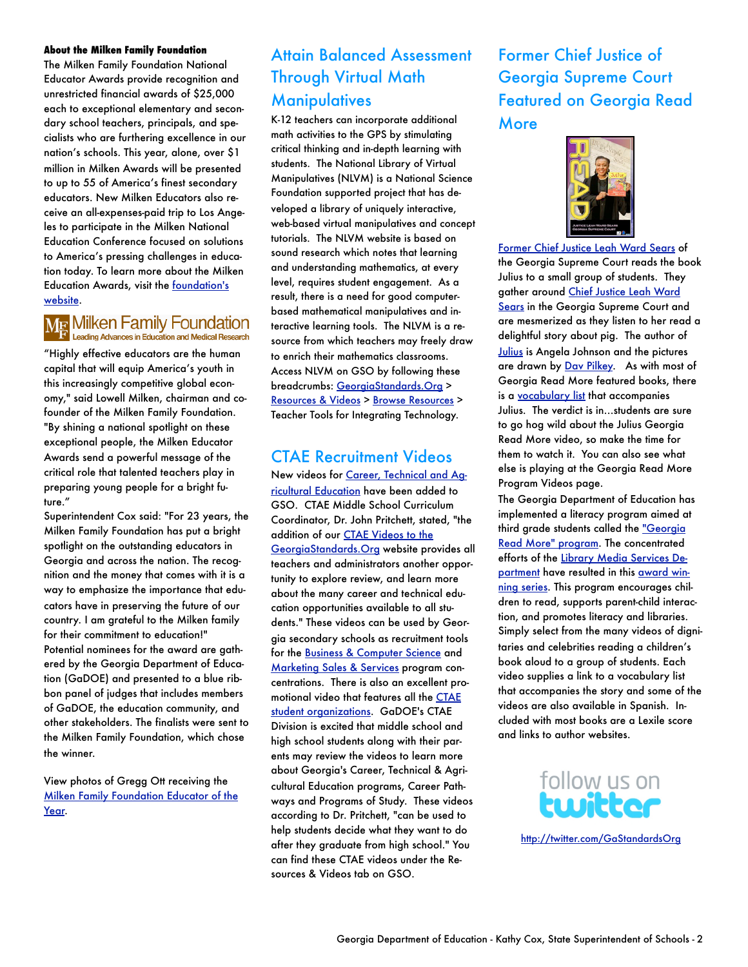#### **About the Milken Family Foundation**

The Milken Family Foundation National Educator Awards provide recognition and unrestricted financial awards of \$25,000 each to exceptional elementary and secondary school teachers, principals, and specialists who are furthering excellence in our nation's schools. This year, alone, over \$1 million in Milken Awards will be presented to up to 55 of America's finest secondary educators. New Milken Educators also receive an all-expenses-paid trip to Los Angeles to participate in the Milken National Education Conference focused on solutions to America's pressing challenges in education today. To learn more about the Milken Education Awards, visit the [foundation's](http://www.mff.org/mea/notif2009.taf)  [website.](http://www.mff.org/mea/notif2009.taf)

# MF Milken Family Foundation

"Highly effective educators are the human capital that will equip America's youth in this increasingly competitive global economy," said Lowell Milken, chairman and cofounder of the Milken Family Foundation. "By shining a national spotlight on these exceptional people, the Milken Educator Awards send a powerful message of the critical role that talented teachers play in preparing young people for a bright future."

Superintendent Cox said: "For 23 years, the Milken Family Foundation has put a bright spotlight on the outstanding educators in Georgia and across the nation. The recognition and the money that comes with it is a way to emphasize the importance that educators have in preserving the future of our country. I am grateful to the Milken family for their commitment to education!" Potential nominees for the award are gathered by the Georgia Department of Education (GaDOE) and presented to a blue ribbon panel of judges that includes members of GaDOE, the education community, and other stakeholders. The finalists were sent to the Milken Family Foundation, which chose the winner.

View photos of Gregg Ott receiving the [Milken Family Foundation Educator of the](http://gadoe.shutterfly.com/1489)  [Year.](http://gadoe.shutterfly.com/1489)

# Attain Balanced Assessment Through Virtual Math **Manipulatives**

K-12 teachers can incorporate additional math activities to the GPS by stimulating critical thinking and in-depth learning with students. The National Library of Virtual Manipulatives (NLVM) is a National Science Foundation supported project that has developed a library of uniquely interactive, web-based virtual manipulatives and concept tutorials. The NLVM website is based on sound research which notes that learning and understanding mathematics, at every level, requires student engagement. As a result, there is a need for good computerbased mathematical manipulatives and interactive learning tools. The NLVM is a resource from which teachers may freely draw to enrich their mathematics classrooms. Access NLVM on GSO by following these breadcrumbs: [GeorgiaStandards.Org](http://www.georgiastandards.org/) > [Resources & Videos](http://www.georgiastandards.org/Resources/Pages/default.aspx) > [Browse Resources](http://www.georgiastandards.org/Resources/Pages/Tools/toolsandlinks.aspx) > Teacher Tools for Integrating Technology.

### CTAE Recruitment Videos

New videos for [Career, Technical and Ag](https://www.georgiastandards.org/resources/Pages/Videos/CTAE.aspx)[ricultural Education](https://www.georgiastandards.org/resources/Pages/Videos/CTAE.aspx) have been added to GSO. CTAE Middle School Curriculum Coordinator, Dr. John Pritchett, stated, "the addition of our [CTAE Videos to the](https://www.georgiastandards.org/Resources/Pages/Videos/VideosandPodcasts.aspx)  [GeorgiaStandards.Org](https://www.georgiastandards.org/Resources/Pages/Videos/VideosandPodcasts.aspx) website provides all teachers and administrators another opportunity to explore review, and learn more about the many career and technical education opportunities available to all students." These videos can be used by Georgia secondary schools as recruitment tools for the [Business & Computer Science](https://www.georgiastandards.org/resources/Pages/Videos/CTAE-Business-Computer-Science-Recruitment-Video.aspx) and [Marketing Sales & Services](https://www.georgiastandards.org/resources/Pages/Videos/CTAE-Marketing-Sales-Services-Recruitment-Video.aspx) program concentrations. There is also an excellent promotional video that features all the [CTAE](https://www.georgiastandards.org/resources/Pages/Videos/CTAE-Georgia-Student-Organizations-CTSO.aspx)  [student organizations](https://www.georgiastandards.org/resources/Pages/Videos/CTAE-Georgia-Student-Organizations-CTSO.aspx). GaDOE's CTAE Division is excited that middle school and high school students along with their parents may review the videos to learn more about Georgia's Career, Technical & Agricultural Education programs, Career Pathways and Programs of Study. These videos according to Dr. Pritchett, "can be used to help students decide what they want to do after they graduate from high school." You can find these CTAE videos under the Resources & Videos tab on GSO.

# Former Chief Justice of Georgia Supreme Court Featured on Georgia Read **More**



[Former Chief Justice Leah Ward Sears](http://www.georgiaencyclopedia.org/nge/Article.jsp?id=h-3724&hl=y) of the Georgia Supreme Court reads the book Julius to a small group of students. They gather around Chief Justice Leah Ward [Sears](http://www.georgiaencyclopedia.org/nge/Article.jsp?id=h-3724&hl=y) in the Georgia Supreme Court and are mesmerized as they listen to her read a delightful story about pig. The author of [Julius](http://www.eduplace.com/kids/hmr05/mtai/johnson.html?grade=2) is Angela Johnson and the pictures are drawn by [Dav Pilkey.](http://www.pilkey.com/) As with most of Georgia Read More featured books, there is a [vocabulary list](http://public.doe.k12.ga.us/DMGetDocument.aspx/Julius-vocabulary-list.pdf?p=6CC6799F8C1371F663069EB3DBA22FD185D0ABFAD65DE203B53F1EADB72C758C&Type=D) that accompanies Julius. The verdict is in…students are sure to go hog wild about the Julius Georgia Read More video, so make the time for them to watch it. You can also see what else is playing at the Georgia Read More Program Videos page.

The Georgia Department of Education has implemented a literacy program aimed at third grade students called the ["Georgia](http://public.doe.k12.ga.us/pea_communications.aspx?ViewMode=1&obj=982)  [Read More" program](http://public.doe.k12.ga.us/pea_communications.aspx?ViewMode=1&obj=982). The concentrated efforts of the [Library Media Services De](http://public.doe.k12.ga.us/sia_as_library.aspx)[partment](http://public.doe.k12.ga.us/sia_as_library.aspx) have resulted in this [award win](http://public.doe.k12.ga.us/it.aspx?PageReq=ITReadMore)[ning series](http://public.doe.k12.ga.us/it.aspx?PageReq=ITReadMore). This program encourages children to read, supports parent-child interaction, and promotes literacy and libraries. Simply select from the many videos of dignitaries and celebrities reading a children's book aloud to a group of students. Each video supplies a link to a vocabulary list that accompanies the story and some of the videos are also available in Spanish. Included with most books are a Lexile score and links to author websites.

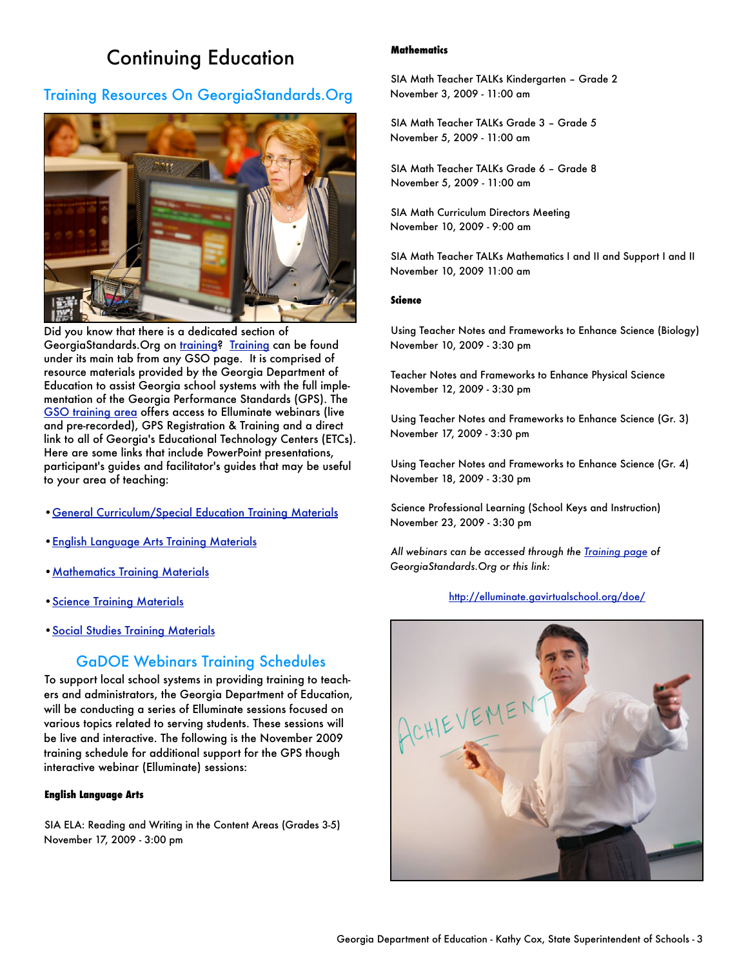# Continuing Education

### Training Resources On GeorgiaStandards.Org



Did you know that there is a dedicated section of GeorgiaStandards. Org on [training](http://www.georgiastandards.org/Learning/Pages/default.aspx)? [Training](https://www.georgiastandards.org/Learning/Pages/default.aspx) can be found under its main tab from any GSO page. It is comprised of resource materials provided by the Georgia Department of Education to assist Georgia school systems with the full implementation of the Georgia Performance Standards (GPS). The [GSO training area](http://www.georgiastandards.org/Learning/Pages/default.aspx) offers access to Elluminate webinars (live and pre-recorded), GPS Registration & Training and a direct link to all of Georgia's Educational Technology Centers (ETCs). Here are some links that include PowerPoint presentations, participant's guides and facilitator's guides that may be useful to your area of teaching:

- •[General Curriculum/Special Education Training Materials](http://www.georgiastandards.org/Learning/Pages/GPSTraining/GeneralCurriculumTrainingMaterials.aspx)
- •[English Language Arts Training Materials](http://www.georgiastandards.org/Learning/Pages/GPSTraining/ELATrainingMaterials.aspx)
- •[Mathematics Training Materials](http://www.georgiastandards.org/Learning/Pages/GPSTraining/MathTrainingMaterials.aspx)
- •[Science Training Materials](http://www.georgiastandards.org/Learning/Pages/GPSTraining/ScienceTrainingMaterials.aspx)
- •[Social Studies Training Materials](http://www.georgiastandards.org/Learning/Pages/GPSTraining/SocialStudiesTrainingMaterials.aspx)

### GaDOE Webinars Training Schedules

To support local school systems in providing training to teachers and administrators, the Georgia Department of Education, will be conducting a series of Elluminate sessions focused on various topics related to serving students. These sessions will be live and interactive. The following is the November 2009 training schedule for additional support for the GPS though interactive webinar (Elluminate) sessions:

#### **English Language Arts**

SIA ELA: Reading and Writing in the Content Areas (Grades 3-5) November 17, 2009 - 3:00 pm

#### **Mathematics**

SIA Math Teacher TALKs Kindergarten – Grade 2 November 3, 2009 - 11:00 am

SIA Math Teacher TALKs Grade 3 – Grade 5 November 5, 2009 - 11:00 am

SIA Math Teacher TALKs Grade 6 – Grade 8 November 5, 2009 - 11:00 am

SIA Math Curriculum Directors Meeting November 10, 2009 - 9:00 am

SIA Math Teacher TALKs Mathematics I and II and Support I and II November 10, 2009 11:00 am

#### **Science**

Using Teacher Notes and Frameworks to Enhance Science (Biology) November 10, 2009 - 3:30 pm

Teacher Notes and Frameworks to Enhance Physical Science November 12, 2009 - 3:30 pm

Using Teacher Notes and Frameworks to Enhance Science (Gr. 3) November 17, 2009 - 3:30 pm

Using Teacher Notes and Frameworks to Enhance Science (Gr. 4) November 18, 2009 - 3:30 pm

Science Professional Learning (School Keys and Instruction) November 23, 2009 - 3:30 pm

*All webinars can be accessed through the [Training page](https://www.georgiastandards.org/Learning/Pages/default.aspx) of GeorgiaStandards.Org or this link:*

#### <http://elluminate.gavirtualschool.org/doe/>

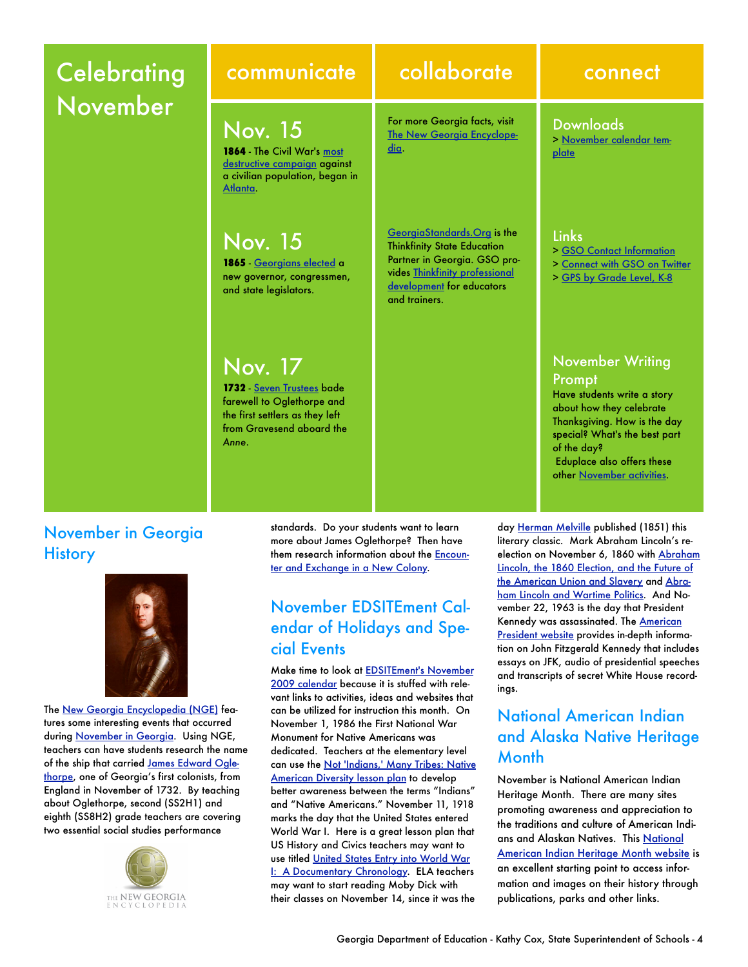# **Celebrating** November

**1864** - The Civil War's [most](http://www.georgiaencyclopedia.org/nge/Article.jsp?id=h-641&pid=s-45)  [destructive campaign](http://www.georgiaencyclopedia.org/nge/Article.jsp?id=h-641&pid=s-45) against a civilian population, began in

1865 - [Georgians elected](http://www.georgiaencyclopedia.org/nge/Article.jsp?id=h-2533&pid=s-45) a new governor, congressmen, and state legislators.

Nov. 15

Nov. 15

Nov. 17

*Anne*.

**1732** [Seven Trustees](http://www.georgiaencyclopedia.org/nge/Article.jsp?id=h-816&pid=s-45) bade farewell to Oglethorpe and the first settlers as they left from Gravesend aboard the

[Atlanta](http://www.georgiaencyclopedia.org/nge/Article.jsp?id=h-2207).

# communicate collaborate connect

For more Georgia facts, visit [The New Georgia Encyclope](http://www.georgiaencyclopedia.org/)[dia](http://www.georgiaencyclopedia.org/).

[GeorgiaStandards.Org](https://www.georgiastandards.org/Pages/default.aspx) is the Thinkfinity State Education Partner in Georgia. GSO provides [Thinkfinity professional](http://www.thinkfinity.org/pd/request_training.aspx)  [development](http://www.thinkfinity.org/pd/request_training.aspx) for educators and trainers.

#### Downloads

> [November calendar tem](http://www.georgiastandards.org/Documents/GSO-to-GO-November-2009-Calendar-Template.doc)plate

#### Links

- > [GSO Contact Information](https://www.georgiastandards.org/Pages/ContactUs/contactus.aspx)
- > [Connect with GSO on Twitter](http://twitter.com/gastandardsorg)
- > [GPS by Grade Level, K-8](http://www.georgiastandards.org/standards/Pages/BrowseStandards/GPS_by_Grade_Level_K-8.aspx)

### November Writing Prompt

Have students write a story about how they celebrate Thanksgiving. How is the day special? What's the best part of the day? Eduplace also offers these other [November activities](http://www.eduplace.com/monthlytheme/november/thanksgiving.html).

November in Georgia **History** 



The [New Georgia Encyclopedia \(NGE\)](http://www.georgiaencyclopedia.org/) features some interesting events that occurred during [November in Georgia](http://www.georgiaencyclopedia.org/nge/Feature.jsp?id=s-45&hl=y). Using NGE, teachers can have students research the name of the ship that carried [James Edward Ogle](http://www.georgiaencyclopedia.org/nge/Article.jsp?id=h-1058&pid=s-45)[thorpe,](http://www.georgiaencyclopedia.org/nge/Article.jsp?id=h-1058&pid=s-45) one of Georgia's first colonists, from England in November of 1732. By teaching about Oglethorpe, second (SS2H1) and eighth (SS8H2) grade teachers are covering two essential social studies performance



standards. Do your students want to learn more about James Oglethorpe? Then have them research information about the [Encoun](http://www.georgiahistory.com/containers/197)[ter and Exchange in a New Colony.](http://www.georgiahistory.com/containers/197)

# November EDSITEment Calendar of Holidays and Special Events

Make time to look at [EDSITEment's November](http://edsitement.neh.gov/calendar.asp?date=11/1/2009)  [2009 calendar](http://edsitement.neh.gov/calendar.asp?date=11/1/2009) because it is stuffed with relevant links to activities, ideas and websites that can be utilized for instruction this month. On November 1, 1986 the First National War Monument for Native Americans was dedicated. Teachers at the elementary level can use the [Not 'Indians,' Many Tribes: Native](http://edsitement.neh.gov/view_lesson_plan.asp?id=324)  [American Diversity lesson plan](http://edsitement.neh.gov/view_lesson_plan.asp?id=324) to develop better awareness between the terms "Indians" and "Native Americans." November 11, 1918 marks the day that the United States entered World War I. Here is a great lesson plan that US History and Civics teachers may want to use titled [United States Entry into World War](http://edsitement.neh.gov/view_lesson_plan.asp?id=471)  [I: A Documentary Chronology](http://edsitement.neh.gov/view_lesson_plan.asp?id=471). ELA teachers may want to start reading Moby Dick with their classes on November 14, since it was the

day [Herman Melville](http://www.poets.org/poet.php/prmPID/236) published (1851) this literary classic. Mark Abraham Lincoln's reelection on November 6, 1860 with [Abraham](http://edsitement.neh.gov/view_lesson_plan.asp?id=662)  [Lincoln, the 1860 Election, and the Future of](http://edsitement.neh.gov/view_lesson_plan.asp?id=662)  [the American Union and Slavery](http://edsitement.neh.gov/view_lesson_plan.asp?id=662) and [Abra](http://edsitement.neh.gov/view_lesson_plan.asp?id=747)[ham Lincoln and Wartime Politics.](http://edsitement.neh.gov/view_lesson_plan.asp?id=747) And November 22, 1963 is the day that President Kennedy was assassinated. The [American](http://millercenter.org/academic/americanpresident/kennedy)  [President website](http://millercenter.org/academic/americanpresident/kennedy) provides in-depth information on John Fitzgerald Kennedy that includes essays on JFK, audio of presidential speeches and transcripts of secret White House recordings.

# National American Indian and Alaska Native Heritage **Month**

November is National American Indian Heritage Month. There are many sites promoting awareness and appreciation to the traditions and culture of American Indians and Alaskan Natives. This [National](http://www.nps.gov/history/nr/feature/indian/)  [American Indian Heritage Month website](http://www.nps.gov/history/nr/feature/indian/) is an excellent starting point to access information and images on their history through publications, parks and other links.